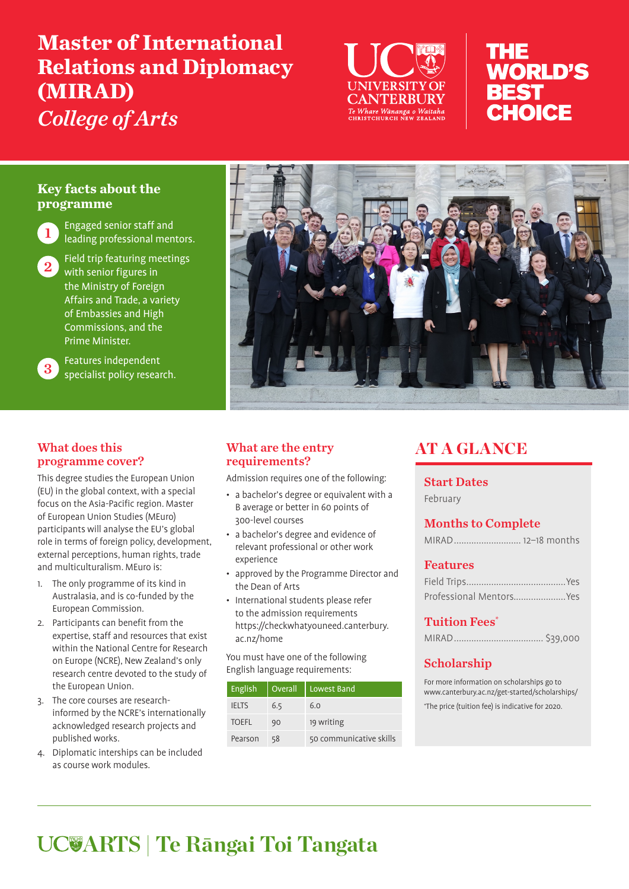# **Master of International Relations and Diplomacy (MIRAD)** *College of Arts*



## THE **WORLD'S BEST** RHOICF

#### **Key facts about the programme**



1 Engaged senior staff and leading professional mentors.

2 Field trip featuring meetings<br>With senior figures in the Ministry of Foreign Affairs and Trade, a variety of Embassies and High Commissions, and the Prime Minister.



3 Features independent<br>3 Specialist policy research.

#### What does this programme cover?

This degree studies the European Union (EU) in the global context, with a special focus on the Asia-Pacific region. Master of European Union Studies (MEuro) participants will analyse the EU's global role in terms of foreign policy, development, external perceptions, human rights, trade and multiculturalism. MEuro is:

- 1. The only programme of its kind in Australasia, and is co-funded by the European Commission.
- 2. Participants can benefit from the expertise, staff and resources that exist within the National Centre for Research on Europe (NCRE), New Zealand's only research centre devoted to the study of the European Union.
- 3. The core courses are researchinformed by the NCRE's internationally acknowledged research projects and published works.
- 4. Diplomatic interships can be included as course work modules.



#### What are the entry requirements?

Admission requires one of the following:

- a bachelor's degree or equivalent with a B average or better in 60 points of 300-level courses
- a bachelor's degree and evidence of relevant professional or other work experience
- approved by the Programme Director and the Dean of Arts
- International students please refer to the admission requirements https://checkwhatyouneed.canterbury. ac.nz/home

You must have one of the following English language requirements:

| English      | Overall | Lowest Band             |
|--------------|---------|-------------------------|
| <b>IELTS</b> | 6.5     | 6.0                     |
| <b>TOEFL</b> | 90      | 19 writing              |
| Pearson      | 58      | 50 communicative skills |

## AT A GLANCE

#### Start Dates

February

#### Months to Complete

#### Features

| Professional MentorsYes |  |
|-------------------------|--|

#### **Tuition Fees\***

|--|--|

#### Scholarship

For more information on scholarships go to www.canterbury.ac.nz/get-started/scholarships/ \* The price (tuition fee) is indicative for 2020.

# **ARTS | Te Rāngai Toi Tangata**